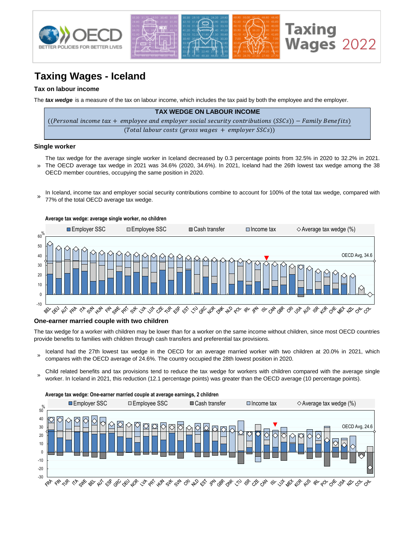

# **Taxing Wages - Iceland**

## **Tax on labour income**

The *tax wedge* is a measure of the tax on labour income, which includes the tax paid by both the employee and the employer.

| <b>TAX WEDGE ON LABOUR INCOME</b>                                                                      |
|--------------------------------------------------------------------------------------------------------|
| ((Personal income tax + employee and employer social security contributions (SSCs)) – Family Benefits) |
| $(Total$ labour costs (gross wages $+$ employer SSCs))                                                 |

#### **Single worker**

- » The tax wedge for the average single worker in Iceland decreased by 0.3 percentage points from 32.5% in 2020 to 32.2% in 2021. The OECD average tax wedge in 2021 was 34.6% (2020, 34.6%). In 2021, Iceland had the 26th lowest tax wedge among the 38 OECD member countries, occupying the same position in 2020.
- In Iceland, income tax and employer social security contributions combine to account for 100% of the total tax wedge, compared with 77% of the total OECD average tax wedge. »



### **One-earner married couple with two children**

The tax wedge for a worker with children may be lower than for a worker on the same income without children, since most OECD countries provide benefits to families with children through cash transfers and preferential tax provisions.

- » Iceland had the 27th lowest tax wedge in the OECD for an average married worker with two children at 20.0% in 2021, which compares with the OECD average of 24.6%. The country occupied the 28th lowest position in 2020.
- Child related benefits and tax provisions tend to reduce the tax wedge for workers with children compared with the average single worker. In Iceland in 2021, this reduction (12.1 percentage points) was greater than the OECD average (10 percentage points).